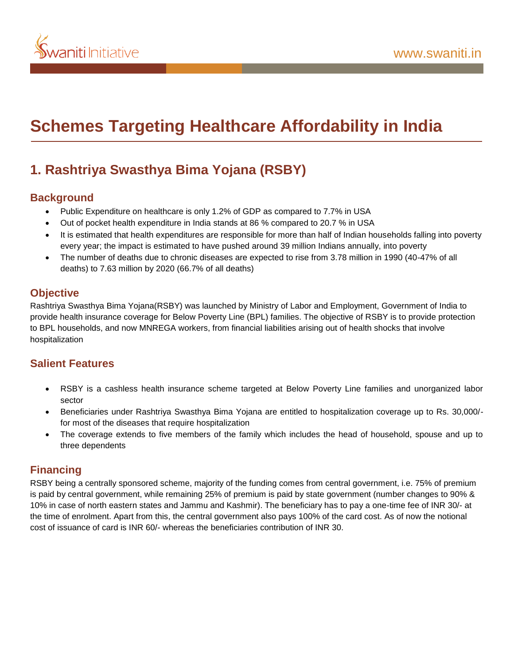

# **Schemes Targeting Healthcare Affordability in India**

# **1. Rashtriya Swasthya Bima Yojana (RSBY)**

### **Background**

- Public Expenditure on healthcare is only 1.2% of GDP as compared to 7.7% in USA
- Out of pocket health expenditure in India stands at 86 % compared to 20.7 % in USA
- It is estimated that health expenditures are responsible for more than half of Indian households falling into poverty every year; the impact is estimated to have pushed around 39 million Indians annually, into poverty
- The number of deaths due to chronic diseases are expected to rise from 3.78 million in 1990 (40-47% of all deaths) to 7.63 million by 2020 (66.7% of all deaths)

### **Objective**

Rashtriya Swasthya Bima Yojana(RSBY) was launched by Ministry of Labor and Employment, Government of India to provide health insurance coverage for Below Poverty Line (BPL) families. The objective of RSBY is to provide protection to BPL households, and now MNREGA workers, from financial liabilities arising out of health shocks that involve hospitalization

## **Salient Features**

- RSBY is a cashless health insurance scheme targeted at Below Poverty Line families and unorganized labor sector
- Beneficiaries under Rashtriya Swasthya Bima Yojana are entitled to hospitalization coverage up to Rs. 30,000/ for most of the diseases that require hospitalization
- The coverage extends to five members of the family which includes the head of household, spouse and up to three dependents

## **Financing**

RSBY being a centrally sponsored scheme, majority of the funding comes from central government, i.e. 75% of premium is paid by central government, while remaining 25% of premium is paid by state government (number changes to 90% & 10% in case of north eastern states and Jammu and Kashmir). The beneficiary has to pay a one-time fee of INR 30/- at the time of enrolment. Apart from this, the central government also pays 100% of the card cost. As of now the notional cost of issuance of card is INR 60/- whereas the beneficiaries contribution of INR 30.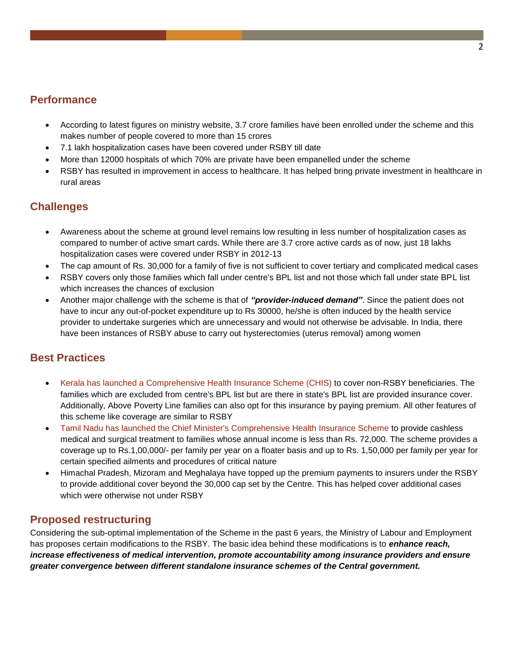#### **Performance**

- According to latest figures on ministry website, 3.7 crore families have been enrolled under the scheme and this makes number of people covered to more than 15 crores
- 7.1 lakh hospitalization cases have been covered under RSBY till date
- More than 12000 hospitals of which 70% are private have been empanelled under the scheme
- RSBY has resulted in improvement in access to healthcare. It has helped bring private investment in healthcare in rural areas

### **Challenges**

- Awareness about the scheme at ground level remains low resulting in less number of hospitalization cases as compared to number of active smart cards. While there are 3.7 crore active cards as of now, just 18 lakhs hospitalization cases were covered under RSBY in 2012-13
- The cap amount of Rs. 30,000 for a family of five is not sufficient to cover tertiary and complicated medical cases
- RSBY covers only those families which fall under centre's BPL list and not those which fall under state BPL list which increases the chances of exclusion
- Another major challenge with the scheme is that of *"provider-induced demand"*. Since the patient does not have to incur any out-of-pocket expenditure up to Rs 30000, he/she is often induced by the health service provider to undertake surgeries which are unnecessary and would not otherwise be advisable. In India, there have been instances of RSBY abuse to carry out hysterectomies (uterus removal) among women

#### **Best Practices**

- Kerala has launched a Comprehensive Health Insurance Scheme (CHIS) to cover non-RSBY beneficiaries. The families which are excluded from centre's BPL list but are there in state's BPL list are provided insurance cover. Additionally, Above Poverty Line families can also opt for this insurance by paying premium. All other features of this scheme like coverage are similar to RSBY
- Tamil Nadu has launched the Chief Minister's Comprehensive Health Insurance Scheme to provide cashless medical and surgical treatment to families whose annual income is less than Rs. 72,000. The scheme provides a coverage up to Rs.1,00,000/- per family per year on a floater basis and up to Rs. 1,50,000 per family per year for certain specified ailments and procedures of critical nature
- Himachal Pradesh, Mizoram and Meghalaya have topped up the premium payments to insurers under the RSBY to provide additional cover beyond the 30,000 cap set by the Centre. This has helped cover additional cases which were otherwise not under RSBY

#### **Proposed restructuring**

Considering the sub-optimal implementation of the Scheme in the past 6 years, the Ministry of Labour and Employment has proposes certain modifications to the RSBY. The basic idea behind these modifications is to *enhance reach, increase effectiveness of medical intervention, promote accountability among insurance providers and ensure greater convergence between different standalone insurance schemes of the Central government.*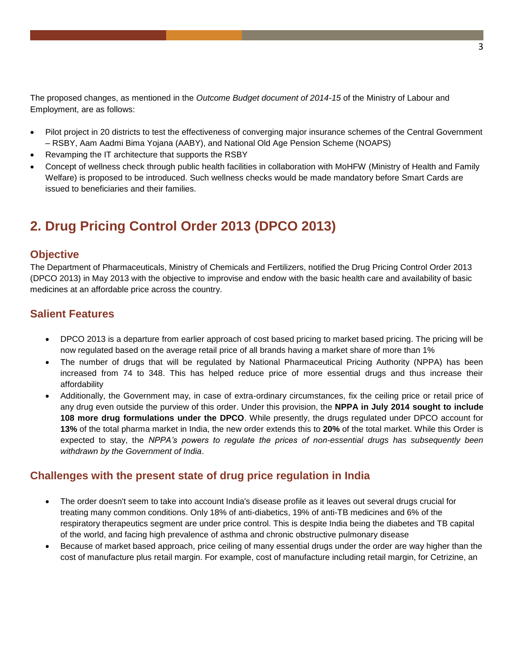The proposed changes, as mentioned in the *Outcome Budget document of 2014-15* of the Ministry of Labour and Employment, are as follows:

- Pilot project in 20 districts to test the effectiveness of converging major insurance schemes of the Central Government – RSBY, Aam Aadmi Bima Yojana (AABY), and National Old Age Pension Scheme (NOAPS)
- Revamping the IT architecture that supports the RSBY
- Concept of wellness check through public health facilities in collaboration with MoHFW (Ministry of Health and Family Welfare) is proposed to be introduced. Such wellness checks would be made mandatory before Smart Cards are issued to beneficiaries and their families.

# **2. Drug Pricing Control Order 2013 (DPCO 2013)**

#### **Objective**

The Department of Pharmaceuticals, Ministry of Chemicals and Fertilizers, notified the Drug Pricing Control Order 2013 (DPCO 2013) in May 2013 with the objective to improvise and endow with the basic health care and availability of basic medicines at an affordable price across the country.

#### **Salient Features**

- DPCO 2013 is a departure from earlier approach of cost based pricing to market based pricing. The pricing will be now regulated based on the average retail price of all brands having a market share of more than 1%
- The number of drugs that will be regulated by National Pharmaceutical Pricing Authority (NPPA) has been increased from 74 to 348. This has helped reduce price of more essential drugs and thus increase their affordability
- Additionally, the Government may, in case of extra-ordinary circumstances, fix the ceiling price or retail price of any drug even outside the purview of this order. Under this provision, the **NPPA in July 2014 sought to include 108 more drug formulations under the DPCO**. While presently, the drugs regulated under DPCO account for **13%** of the total pharma market in India, the new order extends this to **20%** of the total market. While this Order is expected to stay, the *NPPA's powers to regulate the prices of non-essential drugs has subsequently been withdrawn by the Government of India*.

#### **Challenges with the present state of drug price regulation in India**

- The order doesn't seem to take into account India's disease profile as it leaves out several drugs crucial for treating many common conditions. Only 18% of anti-diabetics, 19% of anti-TB medicines and 6% of the respiratory therapeutics segment are under price control. This is despite India being the diabetes and TB capital of the world, and facing high prevalence of asthma and chronic obstructive pulmonary disease
- Because of market based approach, price ceiling of many essential drugs under the order are way higher than the cost of manufacture plus retail margin. For example, cost of manufacture including retail margin, for Cetrizine, an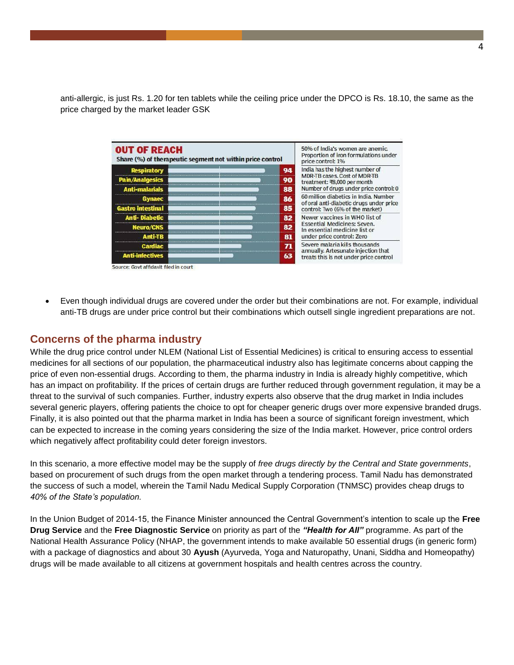anti-allergic, is just Rs. 1.20 for ten tablets while the ceiling price under the DPCO is Rs. 18.10, the same as the price charged by the market leader GSK

| <b>OUT OF REACH</b><br>Share (%) of therapeutic segment not within price control | 50% of India's women are anemic.<br>Proportion of iron formulations under<br>price control: 1% |
|----------------------------------------------------------------------------------|------------------------------------------------------------------------------------------------|
| <b>Respiratory</b>                                                               | India has the highest number of<br>94                                                          |
| Pain/Analgesics                                                                  | <b>MDR-TB cases, Cost of MDR-TB</b><br>90<br>treatment: ₹8,000 per month                       |
| <b>Anti-malarials</b>                                                            | Number of drugs under price control: 0<br>88                                                   |
| Gynaec                                                                           | 60 million diabetics in India, Number<br>86<br>of oral anti-diabetic drugs under price         |
| <b>Gastro intestinal</b>                                                         | 85<br>control: Two (6% of the market)                                                          |
| <b>Anti-Diabetic</b>                                                             | Newer vaccines in WHO list of<br>82                                                            |
| Neuro/CNS                                                                        | <b>Essential Medicines: Seven.</b><br>82<br>In essential medicine list or                      |
| <b>Anti-TB</b>                                                                   | under price control: Zero<br>81                                                                |
| Cardiac                                                                          | Severe malaria kills thousands<br>71                                                           |
| <b>Anti-infectives</b>                                                           | annually. Artesunate injection that<br>63<br>treats this is not under price control            |

 Even though individual drugs are covered under the order but their combinations are not. For example, individual anti-TB drugs are under price control but their combinations which outsell single ingredient preparations are not.

#### **Concerns of the pharma industry**

While the drug price control under NLEM (National List of Essential Medicines) is critical to ensuring access to essential medicines for all sections of our population, the pharmaceutical industry also has legitimate concerns about capping the price of even non-essential drugs. According to them, the pharma industry in India is already highly competitive, which has an impact on profitability. If the prices of certain drugs are further reduced through government regulation, it may be a threat to the survival of such companies. Further, industry experts also observe that the drug market in India includes several generic players, offering patients the choice to opt for cheaper generic drugs over more expensive branded drugs. Finally, it is also pointed out that the pharma market in India has been a source of significant foreign investment, which can be expected to increase in the coming years considering the size of the India market. However, price control orders which negatively affect profitability could deter foreign investors.

In this scenario, a more effective model may be the supply of *free drugs directly by the Central and State governments*, based on procurement of such drugs from the open market through a tendering process. Tamil Nadu has demonstrated the success of such a model, wherein the Tamil Nadu Medical Supply Corporation (TNMSC) provides cheap drugs to *40% of the State's population.* 

In the Union Budget of 2014-15, the Finance Minister announced the Central Government's intention to scale up the **Free Drug Service** and the **Free Diagnostic Service** on priority as part of the *"Health for All"* programme. As part of the National Health Assurance Policy (NHAP, the government intends to make available 50 essential drugs (in generic form) with a package of diagnostics and about 30 **[Ayush](http://www.business-standard.com/search?type=news&q=Ayush)** (Ayurveda, Yoga and Naturopathy, Unani, Siddha and Homeopathy) drugs will be made available to all citizens at government hospitals and health centres across the country.